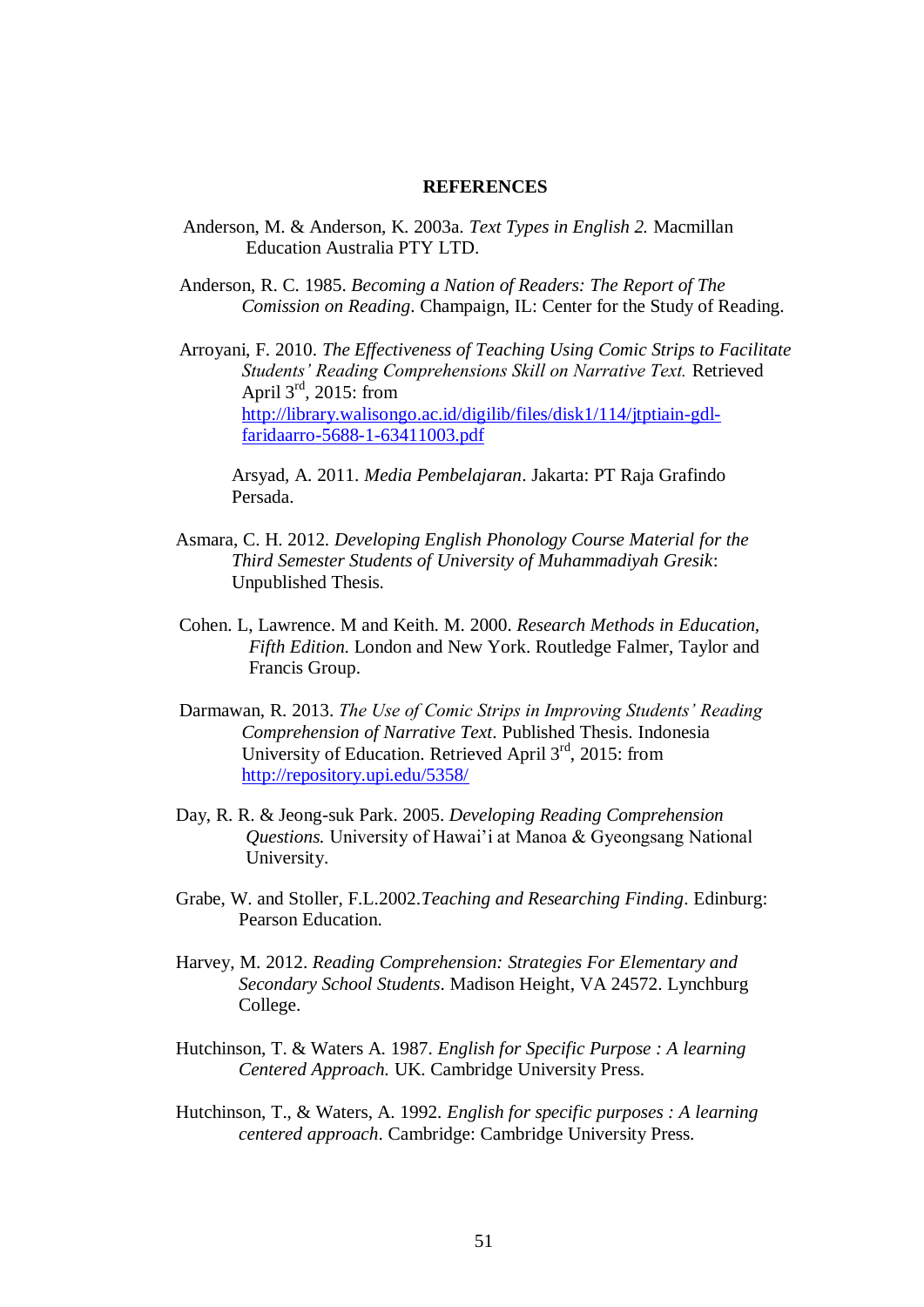## **REFERENCES**

Anderson, M. & Anderson, K. 2003a. *Text Types in English 2.* Macmillan Education Australia PTY LTD.

Anderson, R. C. 1985. *Becoming a Nation of Readers: The Report of The Comission on Reading*. Champaign, IL: Center for the Study of Reading.

Arroyani, F. 2010. *The Effectiveness of Teaching Using Comic Strips to Facilitate Students' Reading Comprehensions Skill on Narrative Text.* Retrieved April  $3^{\text{rd}}$ , 2015: from [http://library.walisongo.ac.id/digilib/files/disk1/114/jtptiain-gdl](http://library.walisongo.ac.id/digilib/files/disk1/114/jtptiain-gdl-faridaarro-5688-1-63411003.pdf)[faridaarro-5688-1-63411003.pdf](http://library.walisongo.ac.id/digilib/files/disk1/114/jtptiain-gdl-faridaarro-5688-1-63411003.pdf)

Arsyad, A. 2011. *Media Pembelajaran*. Jakarta: PT Raja Grafindo Persada.

- Asmara, C. H. 2012. *Developing English Phonology Course Material for the Third Semester Students of University of Muhammadiyah Gresik*: Unpublished Thesis.
- Cohen. L, Lawrence. M and Keith. M. 2000. *Research Methods in Education, Fifth Edition*. London and New York. Routledge Falmer, Taylor and Francis Group.
- Darmawan, R. 2013. *The Use of Comic Strips in Improving Students' Reading Comprehension of Narrative Text*. Published Thesis. Indonesia University of Education. Retrieved April 3rd, 2015: from <http://repository.upi.edu/5358/>
- Day, R. R. & Jeong-suk Park. 2005. *Developing Reading Comprehension Questions.* University of Hawai'i at Manoa & Gyeongsang National University.
- Grabe, W. and Stoller, F.L.2002.*Teaching and Researching Finding*. Edinburg: Pearson Education.
- Harvey, M. 2012. *Reading Comprehension: Strategies For Elementary and Secondary School Students*. Madison Height, VA 24572. Lynchburg College.
- Hutchinson, T. & Waters A. 1987. *English for Specific Purpose : A learning Centered Approach.* UK. Cambridge University Press.
- Hutchinson, T., & Waters, A. 1992. *English for specific purposes : A learning centered approach*. Cambridge: Cambridge University Press.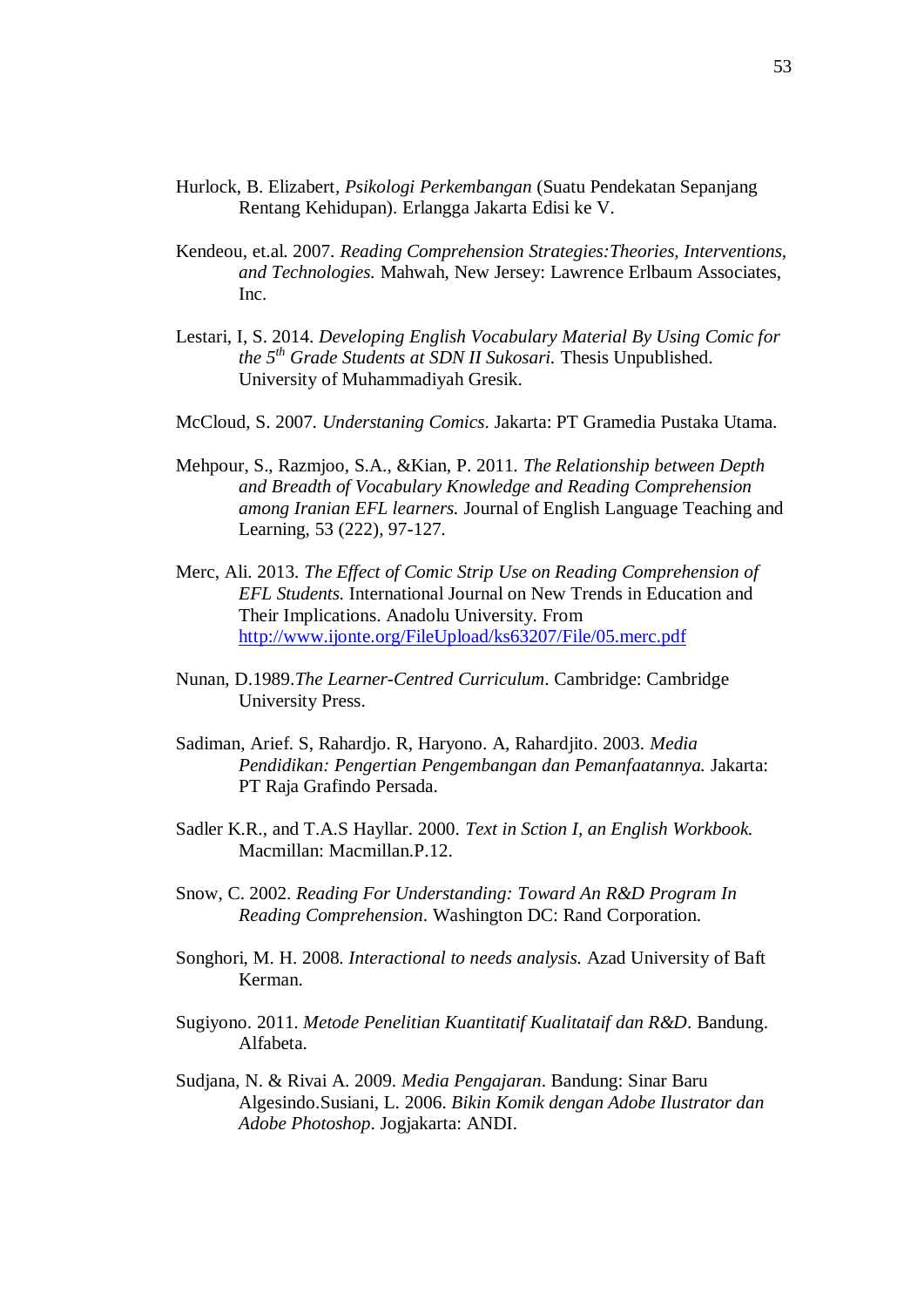- Hurlock, B. Elizabert*, Psikologi Perkembangan* (Suatu Pendekatan Sepanjang Rentang Kehidupan). Erlangga Jakarta Edisi ke V.
- Kendeou, et.al. 2007. *Reading Comprehension Strategies:Theories, Interventions, and Technologies.* Mahwah, New Jersey: Lawrence Erlbaum Associates, Inc.
- Lestari, I, S. 2014. *Developing English Vocabulary Material By Using Comic for the 5th Grade Students at SDN II Sukosari.* Thesis Unpublished. University of Muhammadiyah Gresik.
- McCloud, S. 2007. *Understaning Comics*. Jakarta: PT Gramedia Pustaka Utama.
- Mehpour, S., Razmjoo, S.A., &Kian, P. 2011. *The Relationship between Depth and Breadth of Vocabulary Knowledge and Reading Comprehension among Iranian EFL learners.* Journal of English Language Teaching and Learning, 53 (222), 97-127.
- Merc, Ali. 2013. *The Effect of Comic Strip Use on Reading Comprehension of EFL Students.* International Journal on New Trends in Education and Their Implications. Anadolu University. From <http://www.ijonte.org/FileUpload/ks63207/File/05.merc.pdf>
- Nunan, D.1989.*The Learner-Centred Curriculum*. Cambridge: Cambridge University Press.
- Sadiman, Arief. S, Rahardjo. R, Haryono. A, Rahardjito. 2003. *Media Pendidikan: Pengertian Pengembangan dan Pemanfaatannya.* Jakarta: PT Raja Grafindo Persada.
- Sadler K.R., and T.A.S Hayllar. 2000. *Text in Sction I, an English Workbook.* Macmillan: Macmillan.P.12.
- Snow, C. 2002. *Reading For Understanding: Toward An R&D Program In Reading Comprehension*. Washington DC: Rand Corporation.
- Songhori, M. H. 2008. *Interactional to needs analysis.* Azad University of Baft Kerman.
- Sugiyono. 2011. *Metode Penelitian Kuantitatif Kualitataif dan R&D*. Bandung. Alfabeta.
- Sudjana, N. & Rivai A. 2009. *Media Pengajaran*. Bandung: Sinar Baru Algesindo.Susiani, L. 2006. *Bikin Komik dengan Adobe Ilustrator dan Adobe Photoshop*. Jogjakarta: ANDI.